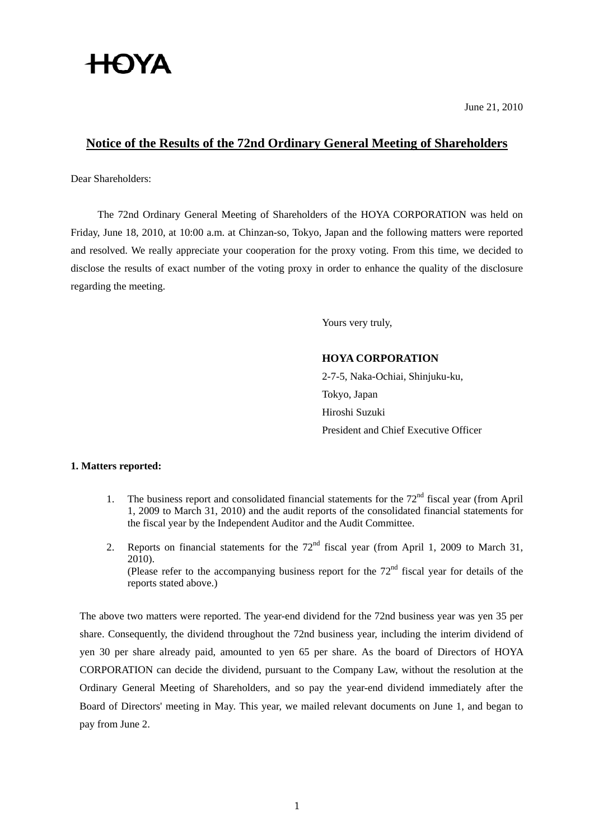# **HOYA**

June 21, 2010

# **Notice of the Results of the 72nd Ordinary General Meeting of Shareholders**

Dear Shareholders:

The 72nd Ordinary General Meeting of Shareholders of the HOYA CORPORATION was held on Friday, June 18, 2010, at 10:00 a.m. at Chinzan-so, Tokyo, Japan and the following matters were reported and resolved. We really appreciate your cooperation for the proxy voting. From this time, we decided to disclose the results of exact number of the voting proxy in order to enhance the quality of the disclosure regarding the meeting.

Yours very truly,

## **HOYA CORPORATION**

2-7-5, Naka-Ochiai, Shinjuku-ku, Tokyo, Japan Hiroshi Suzuki President and Chief Executive Officer

### **1. Matters reported:**

- 1. The business report and consolidated financial statements for the  $72<sup>nd</sup>$  fiscal year (from April 1, 2009 to March 31, 2010) and the audit reports of the consolidated financial statements for the fiscal year by the Independent Auditor and the Audit Committee.
- 2. Reports on financial statements for the  $72<sup>nd</sup>$  fiscal year (from April 1, 2009 to March 31, 2010). (Please refer to the accompanying business report for the  $72<sup>nd</sup>$  fiscal year for details of the reports stated above.)

 The above two matters were reported. The year-end dividend for the 72nd business year was yen 35 per share. Consequently, the dividend throughout the 72nd business year, including the interim dividend of yen 30 per share already paid, amounted to yen 65 per share. As the board of Directors of HOYA CORPORATION can decide the dividend, pursuant to the Company Law, without the resolution at the Ordinary General Meeting of Shareholders, and so pay the year-end dividend immediately after the Board of Directors' meeting in May. This year, we mailed relevant documents on June 1, and began to pay from June 2.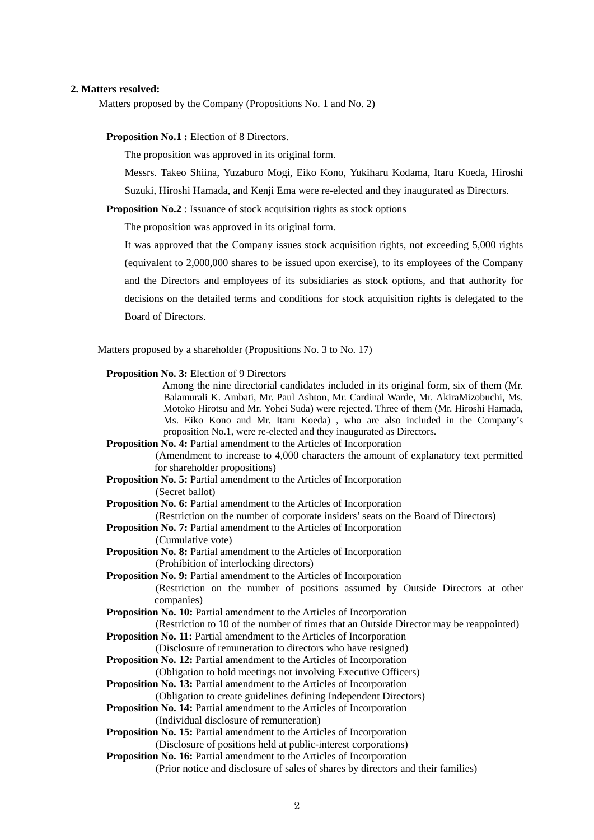#### **2. Matters resolved:**

Matters proposed by the Company (Propositions No. 1 and No. 2)

**Proposition No.1 :** Election of 8 Directors.

The proposition was approved in its original form.

 Messrs. Takeo Shiina, Yuzaburo Mogi, Eiko Kono, Yukiharu Kodama, Itaru Koeda, Hiroshi Suzuki, Hiroshi Hamada, and Kenji Ema were re-elected and they inaugurated as Directors.

**Proposition No.2** : Issuance of stock acquisition rights as stock options

The proposition was approved in its original form.

It was approved that the Company issues stock acquisition rights, not exceeding 5,000 rights (equivalent to 2,000,000 shares to be issued upon exercise), to its employees of the Company and the Directors and employees of its subsidiaries as stock options, and that authority for decisions on the detailed terms and conditions for stock acquisition rights is delegated to the Board of Directors.

Matters proposed by a shareholder (Propositions No. 3 to No. 17)

| <b>Proposition No. 3: Election of 9 Directors</b><br>Among the nine directorial candidates included in its original form, six of them (Mr.<br>Balamurali K. Ambati, Mr. Paul Ashton, Mr. Cardinal Warde, Mr. AkiraMizobuchi, Ms.<br>Motoko Hirotsu and Mr. Yohei Suda) were rejected. Three of them (Mr. Hiroshi Hamada,<br>Ms. Eiko Kono and Mr. Itaru Koeda), who are also included in the Company's<br>proposition No.1, were re-elected and they inaugurated as Directors. |  |  |  |  |  |  |  |  |
|--------------------------------------------------------------------------------------------------------------------------------------------------------------------------------------------------------------------------------------------------------------------------------------------------------------------------------------------------------------------------------------------------------------------------------------------------------------------------------|--|--|--|--|--|--|--|--|
| Proposition No. 4: Partial amendment to the Articles of Incorporation                                                                                                                                                                                                                                                                                                                                                                                                          |  |  |  |  |  |  |  |  |
| (Amendment to increase to 4,000 characters the amount of explanatory text permitted                                                                                                                                                                                                                                                                                                                                                                                            |  |  |  |  |  |  |  |  |
| for shareholder propositions)                                                                                                                                                                                                                                                                                                                                                                                                                                                  |  |  |  |  |  |  |  |  |
| Proposition No. 5: Partial amendment to the Articles of Incorporation                                                                                                                                                                                                                                                                                                                                                                                                          |  |  |  |  |  |  |  |  |
| (Secret ballot)                                                                                                                                                                                                                                                                                                                                                                                                                                                                |  |  |  |  |  |  |  |  |
| Proposition No. 6: Partial amendment to the Articles of Incorporation                                                                                                                                                                                                                                                                                                                                                                                                          |  |  |  |  |  |  |  |  |
| (Restriction on the number of corporate insiders' seats on the Board of Directors)                                                                                                                                                                                                                                                                                                                                                                                             |  |  |  |  |  |  |  |  |
| <b>Proposition No. 7: Partial amendment to the Articles of Incorporation</b>                                                                                                                                                                                                                                                                                                                                                                                                   |  |  |  |  |  |  |  |  |
| (Cumulative vote)                                                                                                                                                                                                                                                                                                                                                                                                                                                              |  |  |  |  |  |  |  |  |
| <b>Proposition No. 8: Partial amendment to the Articles of Incorporation</b>                                                                                                                                                                                                                                                                                                                                                                                                   |  |  |  |  |  |  |  |  |
| (Prohibition of interlocking directors)                                                                                                                                                                                                                                                                                                                                                                                                                                        |  |  |  |  |  |  |  |  |
| <b>Proposition No. 9: Partial amendment to the Articles of Incorporation</b>                                                                                                                                                                                                                                                                                                                                                                                                   |  |  |  |  |  |  |  |  |
| (Restriction on the number of positions assumed by Outside Directors at other                                                                                                                                                                                                                                                                                                                                                                                                  |  |  |  |  |  |  |  |  |
| companies)                                                                                                                                                                                                                                                                                                                                                                                                                                                                     |  |  |  |  |  |  |  |  |
| Proposition No. 10: Partial amendment to the Articles of Incorporation                                                                                                                                                                                                                                                                                                                                                                                                         |  |  |  |  |  |  |  |  |
| (Restriction to 10 of the number of times that an Outside Director may be reappointed)                                                                                                                                                                                                                                                                                                                                                                                         |  |  |  |  |  |  |  |  |
| <b>Proposition No. 11:</b> Partial amendment to the Articles of Incorporation                                                                                                                                                                                                                                                                                                                                                                                                  |  |  |  |  |  |  |  |  |
| (Disclosure of remuneration to directors who have resigned)<br><b>Proposition No. 12: Partial amendment to the Articles of Incorporation</b>                                                                                                                                                                                                                                                                                                                                   |  |  |  |  |  |  |  |  |
| (Obligation to hold meetings not involving Executive Officers)                                                                                                                                                                                                                                                                                                                                                                                                                 |  |  |  |  |  |  |  |  |
| <b>Proposition No. 13: Partial amendment to the Articles of Incorporation</b>                                                                                                                                                                                                                                                                                                                                                                                                  |  |  |  |  |  |  |  |  |
| (Obligation to create guidelines defining Independent Directors)                                                                                                                                                                                                                                                                                                                                                                                                               |  |  |  |  |  |  |  |  |
| <b>Proposition No. 14: Partial amendment to the Articles of Incorporation</b>                                                                                                                                                                                                                                                                                                                                                                                                  |  |  |  |  |  |  |  |  |
| (Individual disclosure of remuneration)                                                                                                                                                                                                                                                                                                                                                                                                                                        |  |  |  |  |  |  |  |  |
| <b>Proposition No. 15: Partial amendment to the Articles of Incorporation</b>                                                                                                                                                                                                                                                                                                                                                                                                  |  |  |  |  |  |  |  |  |
| (Disclosure of positions held at public-interest corporations)                                                                                                                                                                                                                                                                                                                                                                                                                 |  |  |  |  |  |  |  |  |
| Proposition No. 16: Partial amendment to the Articles of Incorporation                                                                                                                                                                                                                                                                                                                                                                                                         |  |  |  |  |  |  |  |  |
| (Prior notice and disclosure of sales of shares by directors and their families)                                                                                                                                                                                                                                                                                                                                                                                               |  |  |  |  |  |  |  |  |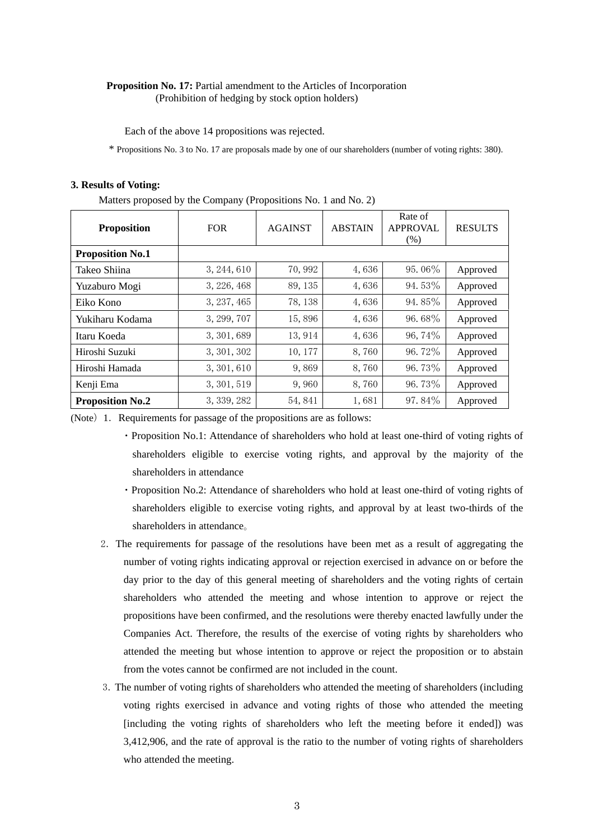#### **Proposition No. 17:** Partial amendment to the Articles of Incorporation (Prohibition of hedging by stock option holders)

Each of the above 14 propositions was rejected.

\* Propositions No. 3 to No. 17 are proposals made by one of our shareholders (number of voting rights: 380).

#### **3. Results of Voting:**

Matters proposed by the Company (Propositions No. 1 and No. 2)

| <b>Proposition</b>      | <b>FOR</b>  | <b>AGAINST</b> | <b>ABSTAIN</b> | Rate of<br><b>APPROVAL</b><br>(% ) | <b>RESULTS</b> |
|-------------------------|-------------|----------------|----------------|------------------------------------|----------------|
| <b>Proposition No.1</b> |             |                |                |                                    |                |
| Takeo Shiina            | 3, 244, 610 | 70,992         | 4,636          | 95.06%                             | Approved       |
| Yuzaburo Mogi           | 3, 226, 468 | 89, 135        | 4,636          | 94.53%                             | Approved       |
| Eiko Kono               | 3, 237, 465 | 78, 138        | 4,636          | 94.85%                             | Approved       |
| Yukiharu Kodama         | 3, 299, 707 | 15,896         | 4,636          | 96.68%                             | Approved       |
| Itaru Koeda             | 3, 301, 689 | 13,914         | 4,636          | 96, 74%                            | Approved       |
| Hiroshi Suzuki          | 3, 301, 302 | 10, 177        | 8,760          | 96.72%                             | Approved       |
| Hiroshi Hamada          | 3, 301, 610 | 9,869          | 8,760          | 96.73%                             | Approved       |
| Kenji Ema               | 3, 301, 519 | 9,960          | 8,760          | 96.73%                             | Approved       |
| <b>Proposition No.2</b> | 3, 339, 282 | 54,841         | 1,681          | 97.84%                             | Approved       |

(Note) 1. Requirements for passage of the propositions are as follows:

- ・Proposition No.1: Attendance of shareholders who hold at least one-third of voting rights of shareholders eligible to exercise voting rights, and approval by the majority of the shareholders in attendance
- ・Proposition No.2: Attendance of shareholders who hold at least one-third of voting rights of shareholders eligible to exercise voting rights, and approval by at least two-thirds of the shareholders in attendance。
- 2.The requirements for passage of the resolutions have been met as a result of aggregating the number of voting rights indicating approval or rejection exercised in advance on or before the day prior to the day of this general meeting of shareholders and the voting rights of certain shareholders who attended the meeting and whose intention to approve or reject the propositions have been confirmed, and the resolutions were thereby enacted lawfully under the Companies Act. Therefore, the results of the exercise of voting rights by shareholders who attended the meeting but whose intention to approve or reject the proposition or to abstain from the votes cannot be confirmed are not included in the count.
- 3.The number of voting rights of shareholders who attended the meeting of shareholders (including voting rights exercised in advance and voting rights of those who attended the meeting [including the voting rights of shareholders who left the meeting before it ended]) was 3,412,906, and the rate of approval is the ratio to the number of voting rights of shareholders who attended the meeting.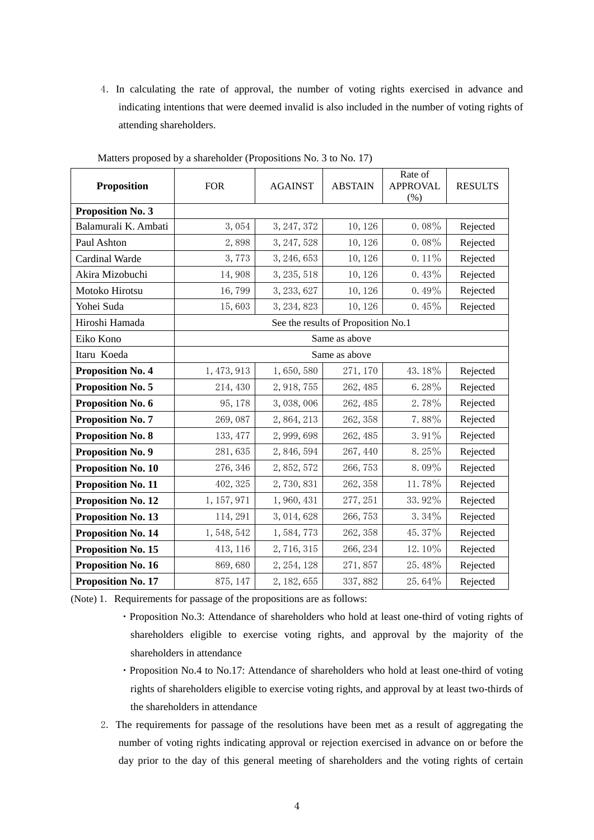4.In calculating the rate of approval, the number of voting rights exercised in advance and indicating intentions that were deemed invalid is also included in the number of voting rights of attending shareholders.

| <b>Proposition</b>        | <b>FOR</b>                          | <b>AGAINST</b> | <b>ABSTAIN</b> | Rate of<br><b>APPROVAL</b><br>$(\%)$ | <b>RESULTS</b> |  |  |
|---------------------------|-------------------------------------|----------------|----------------|--------------------------------------|----------------|--|--|
| <b>Proposition No. 3</b>  |                                     |                |                |                                      |                |  |  |
| Balamurali K. Ambati      | 3,054                               | 3, 247, 372    | 10, 126        | $0.08\%$                             | Rejected       |  |  |
| Paul Ashton               | 2,898                               | 3, 247, 528    | 10, 126        | $0.08\%$                             | Rejected       |  |  |
| Cardinal Warde            | 3,773                               | 3, 246, 653    | 10, 126        | $0.11\%$                             | Rejected       |  |  |
| Akira Mizobuchi           | 14,908                              | 3, 235, 518    | 10, 126        | 0.43%                                | Rejected       |  |  |
| Motoko Hirotsu            | 16,799                              | 3, 233, 627    | 10, 126        | $0.49\%$                             | Rejected       |  |  |
| Yohei Suda                | 15,603                              | 3, 234, 823    | 10, 126        | 0.45%                                | Rejected       |  |  |
| Hiroshi Hamada            | See the results of Proposition No.1 |                |                |                                      |                |  |  |
| Eiko Kono                 | Same as above                       |                |                |                                      |                |  |  |
| Itaru Koeda               | Same as above                       |                |                |                                      |                |  |  |
| <b>Proposition No. 4</b>  | 1, 473, 913                         | 1,650,580      | 271, 170       | 43.18%                               | Rejected       |  |  |
| <b>Proposition No. 5</b>  | 214, 430                            | 2, 918, 755    | 262, 485       | $6.28\%$                             | Rejected       |  |  |
| Proposition No. 6         | 95, 178                             | 3,038,006      | 262, 485       | 2.78%                                | Rejected       |  |  |
| <b>Proposition No. 7</b>  | 269,087                             | 2,864,213      | 262, 358       | 7.88%                                | Rejected       |  |  |
| <b>Proposition No. 8</b>  | 133, 477                            | 2,999,698      | 262, 485       | $3.91\%$                             | Rejected       |  |  |
| <b>Proposition No. 9</b>  | 281,635                             | 2, 846, 594    | 267, 440       | $8.25\%$                             | Rejected       |  |  |
| <b>Proposition No. 10</b> | 276, 346                            | 2,852,572      | 266, 753       | 8.09%                                | Rejected       |  |  |
| <b>Proposition No. 11</b> | 402, 325                            | 2,730,831      | 262, 358       | 11.78%                               | Rejected       |  |  |
| <b>Proposition No. 12</b> | 1, 157, 971                         | 1,960,431      | 277, 251       | 33.92%                               | Rejected       |  |  |
| <b>Proposition No. 13</b> | 114, 291                            | 3, 014, 628    | 266, 753       | $3.34\%$                             | Rejected       |  |  |
| <b>Proposition No. 14</b> | 1, 548, 542                         | 1,584,773      | 262, 358       | 45.37%                               | Rejected       |  |  |
| Proposition No. 15        | 413, 116                            | 2, 716, 315    | 266, 234       | 12.10%                               | Rejected       |  |  |
| Proposition No. 16        | 869,680                             | 2, 254, 128    | 271,857        | 25.48%                               | Rejected       |  |  |
| <b>Proposition No. 17</b> | 875, 147                            | 2, 182, 655    | 337,882        | 25.64%                               | Rejected       |  |  |

Matters proposed by a shareholder (Propositions No. 3 to No. 17)

(Note) 1. Requirements for passage of the propositions are as follows:

- ・Proposition No.3: Attendance of shareholders who hold at least one-third of voting rights of shareholders eligible to exercise voting rights, and approval by the majority of the shareholders in attendance
- ・Proposition No.4 to No.17: Attendance of shareholders who hold at least one-third of voting rights of shareholders eligible to exercise voting rights, and approval by at least two-thirds of the shareholders in attendance
- 2.The requirements for passage of the resolutions have been met as a result of aggregating the number of voting rights indicating approval or rejection exercised in advance on or before the day prior to the day of this general meeting of shareholders and the voting rights of certain